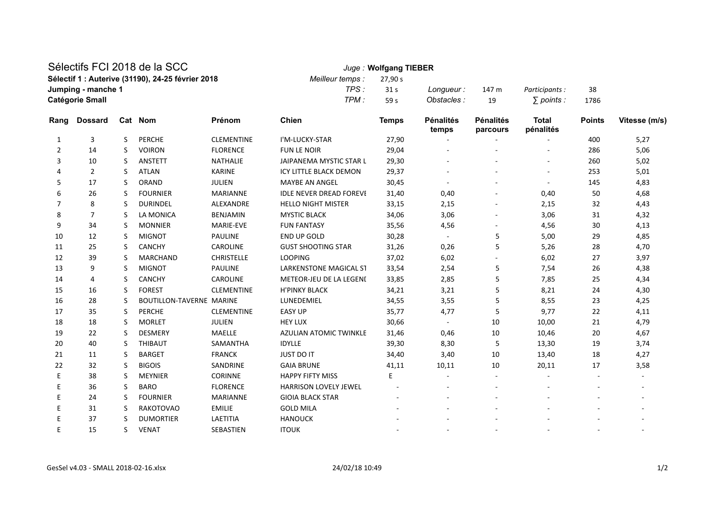## Sélectifs FCI 2018 de la SCC *Juge :* **Wolfgang TIEBER**

| SEIECHIS FUI ZUTO DE lA SUU                       | <i>Juge</i> : wolfgang IIEBER |                 |             |       |                |      |
|---------------------------------------------------|-------------------------------|-----------------|-------------|-------|----------------|------|
| Sélectif 1 : Auterive (31190), 24-25 février 2018 | Meilleur temps : 27,90 s      |                 |             |       |                |      |
| Jumping - manche 1                                | TPS :                         | 31 <sub>s</sub> | Longueur:   | 147 m | Participants : | 38   |
| <b>Catégorie Small</b>                            | TPM.                          | 59 <sub>s</sub> | Obstacles : | 19    | ∶ points :     | 1786 |
|                                                   |                               |                 |             |       |                |      |

| Rang           | <b>Dossard</b> |    | Cat Nom                  | Prénom            | <b>Chien</b>                   | <b>Temps</b> | <b>Pénalités</b><br>temps | <b>Pénalités</b><br>parcours | <b>Total</b><br>pénalités | <b>Points</b> | Vitesse (m/s) |
|----------------|----------------|----|--------------------------|-------------------|--------------------------------|--------------|---------------------------|------------------------------|---------------------------|---------------|---------------|
| 1              | 3              | S  | <b>PERCHE</b>            | <b>CLEMENTINE</b> | I'M-LUCKY-STAR                 | 27,90        |                           |                              |                           | 400           | 5,27          |
| $\overline{2}$ | 14             | S  | <b>VOIRON</b>            | <b>FLORENCE</b>   | <b>FUN LE NOIR</b>             | 29,04        |                           |                              |                           | 286           | 5,06          |
| 3              | 10             | S. | <b>ANSTETT</b>           | <b>NATHALIE</b>   | <b>JAIPANEMA MYSTIC STAR L</b> | 29,30        |                           |                              |                           | 260           | 5,02          |
|                | 2              | S. | <b>ATLAN</b>             | <b>KARINE</b>     | <b>ICY LITTLE BLACK DEMON</b>  | 29,37        |                           |                              |                           | 253           | 5,01          |
| 5              | 17             | S. | <b>ORAND</b>             | <b>JULIEN</b>     | <b>MAYBE AN ANGEL</b>          | 30,45        |                           |                              | $\sim$                    | 145           | 4,83          |
| 6              | 26             | S  | <b>FOURNIER</b>          | <b>MARIANNE</b>   | <b>IDLE NEVER DREAD FOREVE</b> | 31,40        | 0,40                      |                              | 0,40                      | 50            | 4,68          |
| 7              | 8              | S. | <b>DURINDEL</b>          | ALEXANDRE         | <b>HELLO NIGHT MISTER</b>      | 33,15        | 2,15                      |                              | 2,15                      | 32            | 4,43          |
| 8              | $\overline{7}$ | S. | LA MONICA                | <b>BENJAMIN</b>   | <b>MYSTIC BLACK</b>            | 34,06        | 3,06                      |                              | 3,06                      | 31            | 4,32          |
| 9              | 34             | S. | <b>MONNIER</b>           | MARIE-EVE         | <b>FUN FANTASY</b>             | 35,56        | 4,56                      |                              | 4,56                      | 30            | 4,13          |
| 10             | 12             | S. | <b>MIGNOT</b>            | <b>PAULINE</b>    | <b>END UP GOLD</b>             | 30,28        |                           | 5                            | 5,00                      | 29            | 4,85          |
| 11             | 25             | S. | <b>CANCHY</b>            | <b>CAROLINE</b>   | <b>GUST SHOOTING STAR</b>      | 31,26        | 0,26                      | 5                            | 5,26                      | 28            | 4,70          |
| 12             | 39             | S. | <b>MARCHAND</b>          | <b>CHRISTELLE</b> | <b>LOOPING</b>                 | 37,02        | 6,02                      |                              | 6,02                      | 27            | 3,97          |
| 13             | 9              | S. | <b>MIGNOT</b>            | <b>PAULINE</b>    | <b>LARKENSTONE MAGICAL ST</b>  | 33,54        | 2,54                      | 5                            | 7,54                      | 26            | 4,38          |
| 14             | 4              | S. | <b>CANCHY</b>            | <b>CAROLINE</b>   | METEOR-JEU DE LA LEGENI        | 33,85        | 2,85                      | 5                            | 7,85                      | 25            | 4,34          |
| 15             | 16             | S. | <b>FOREST</b>            | <b>CLEMENTINE</b> | <b>H'PINKY BLACK</b>           | 34,21        | 3,21                      | 5                            | 8,21                      | 24            | 4,30          |
| 16             | 28             | S. | BOUTILLON-TAVERNE MARINE |                   | LUNEDEMIEL                     | 34,55        | 3,55                      | 5                            | 8,55                      | 23            | 4,25          |
| 17             | 35             | S. | PERCHE                   | <b>CLEMENTINE</b> | <b>EASY UP</b>                 | 35,77        | 4,77                      | 5                            | 9,77                      | 22            | 4,11          |
| 18             | 18             | S  | <b>MORLET</b>            | <b>JULIEN</b>     | <b>HEY LUX</b>                 | 30,66        | $\sim$                    | 10                           | 10,00                     | 21            | 4,79          |
| 19             | 22             | S. | <b>DESMERY</b>           | <b>MAELLE</b>     | <b>AZULIAN ATOMIC TWINKLE</b>  | 31,46        | 0,46                      | 10                           | 10,46                     | 20            | 4,67          |
| 20             | 40             | S. | <b>THIBAUT</b>           | SAMANTHA          | <b>IDYLLE</b>                  | 39,30        | 8,30                      | 5                            | 13,30                     | 19            | 3,74          |
| 21             | 11             | S  | <b>BARGET</b>            | <b>FRANCK</b>     | <b>JUST DO IT</b>              | 34,40        | 3,40                      | 10                           | 13,40                     | 18            | 4,27          |
| 22             | 32             | S  | <b>BIGOIS</b>            | SANDRINE          | <b>GAIA BRUNE</b>              | 41,11        | 10,11                     | 10                           | 20,11                     | 17            | 3,58          |
| E              | 38             | S. | <b>MEYNIER</b>           | <b>CORINNE</b>    | <b>HAPPY FIFTY MISS</b>        | E            |                           |                              |                           |               |               |
| Ε              | 36             | S  | <b>BARO</b>              | <b>FLORENCE</b>   | <b>HARRISON LOVELY JEWEL</b>   |              |                           |                              |                           |               |               |
| E              | 24             | S  | <b>FOURNIER</b>          | <b>MARIANNE</b>   | <b>GIOIA BLACK STAR</b>        |              |                           |                              |                           |               |               |
| Ε              | 31             | S  | <b>RAKOTOVAO</b>         | <b>EMILIE</b>     | <b>GOLD MILA</b>               |              |                           |                              |                           |               |               |
| E              | 37             | S. | <b>DUMORTIER</b>         | LAETITIA          | <b>HANOUCK</b>                 |              |                           |                              |                           |               |               |
| F              | 15             | S  | <b>VENAT</b>             | SEBASTIEN         | <b>ITOUK</b>                   |              |                           |                              |                           |               |               |